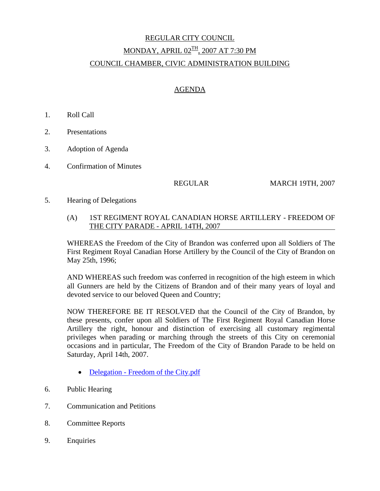# REGULAR CITY COUNCIL MONDAY, APRIL  $02^{TH}$ , 2007 AT 7:30 PM COUNCIL CHAMBER, CIVIC ADMINISTRATION BUILDING

## AGENDA

- 1. Roll Call
- 2. Presentations
- 3. Adoption of Agenda
- 4. Confirmation of Minutes

REGULAR MARCH 19TH, 2007

5. Hearing of Delegations

#### (A) 1ST REGIMENT ROYAL CANADIAN HORSE ARTILLERY - FREEDOM OF THE CITY PARADE - APRIL 14TH, 2007

WHEREAS the Freedom of the City of Brandon was conferred upon all Soldiers of The First Regiment Royal Canadian Horse Artillery by the Council of the City of Brandon on May 25th, 1996;

AND WHEREAS such freedom was conferred in recognition of the high esteem in which all Gunners are held by the Citizens of Brandon and of their many years of loyal and devoted service to our beloved Queen and Country;

NOW THEREFORE BE IT RESOLVED that the Council of the City of Brandon, by these presents, confer upon all Soldiers of The First Regiment Royal Canadian Horse Artillery the right, honour and distinction of exercising all customary regimental privileges when parading or marching through the streets of this City on ceremonial occasions and in particular, The Freedom of the City of Brandon Parade to be held on Saturday, April 14th, 2007.

- Delegation Freedom of the City.pdf
- 6. Public Hearing
- 7. Communication and Petitions
- 8. Committee Reports
- 9. Enquiries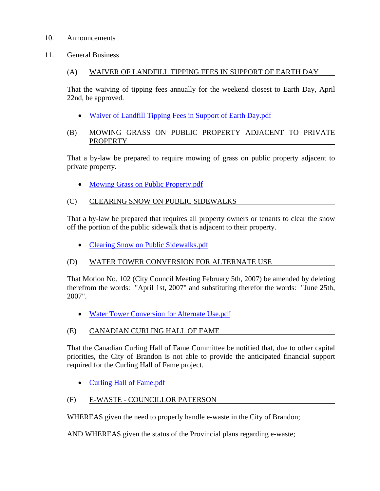#### 10. Announcements

11. General Business

# (A) WAIVER OF LANDFILL TIPPING FEES IN SUPPORT OF EARTH DAY

That the waiving of tipping fees annually for the weekend closest to Earth Day, April 22nd, be approved.

- Waiver of Landfill Tipping Fees in Support of Earth Day.pdf
- (B) MOWING GRASS ON PUBLIC PROPERTY ADJACENT TO PRIVATE PROPERTY

That a by-law be prepared to require mowing of grass on public property adjacent to private property.

• Mowing Grass on Public Property.pdf

# (C) CLEARING SNOW ON PUBLIC SIDEWALKS

That a by-law be prepared that requires all property owners or tenants to clear the snow off the portion of the public sidewalk that is adjacent to their property.

• Clearing Snow on Public Sidewalks.pdf

### (D) WATER TOWER CONVERSION FOR ALTERNATE USE

That Motion No. 102 (City Council Meeting February 5th, 2007) be amended by deleting therefrom the words: "April 1st, 2007" and substituting therefor the words: "June 25th, 2007".

• Water Tower Conversion for Alternate Use.pdf

# (E) CANADIAN CURLING HALL OF FAME

That the Canadian Curling Hall of Fame Committee be notified that, due to other capital priorities, the City of Brandon is not able to provide the anticipated financial support required for the Curling Hall of Fame project.

• Curling Hall of Fame.pdf

### (F) E-WASTE - COUNCILLOR PATERSON

WHEREAS given the need to properly handle e-waste in the City of Brandon;

AND WHEREAS given the status of the Provincial plans regarding e-waste;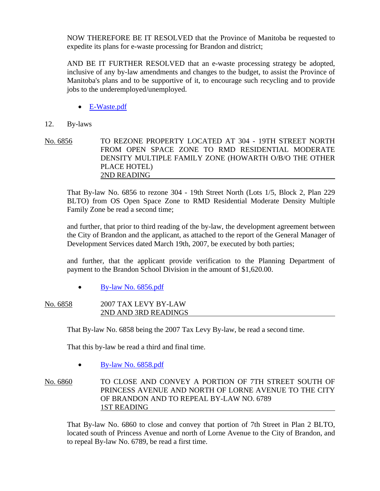NOW THEREFORE BE IT RESOLVED that the Province of Manitoba be requested to expedite its plans for e-waste processing for Brandon and district;

AND BE IT FURTHER RESOLVED that an e-waste processing strategy be adopted, inclusive of any by-law amendments and changes to the budget, to assist the Province of Manitoba's plans and to be supportive of it, to encourage such recycling and to provide jobs to the underemployed/unemployed.

• E-Waste.pdf

#### 12. By-laws

No. 6856 TO REZONE PROPERTY LOCATED AT 304 - 19TH STREET NORTH FROM OPEN SPACE ZONE TO RMD RESIDENTIAL MODERATE DENSITY MULTIPLE FAMILY ZONE (HOWARTH O/B/O THE OTHER PLACE HOTEL) 2ND READING

That By-law No. 6856 to rezone 304 - 19th Street North (Lots 1/5, Block 2, Plan 229 BLTO) from OS Open Space Zone to RMD Residential Moderate Density Multiple Family Zone be read a second time;

and further, that prior to third reading of the by-law, the development agreement between the City of Brandon and the applicant, as attached to the report of the General Manager of Development Services dated March 19th, 2007, be executed by both parties;

and further, that the applicant provide verification to the Planning Department of payment to the Brandon School Division in the amount of \$1,620.00.

• By-law No. 6856.pdf

#### No. 6858 2007 TAX LEVY BY-LAW 2ND AND 3RD READINGS

That By-law No. 6858 being the 2007 Tax Levy By-law, be read a second time.

That this by-law be read a third and final time.

• By-law No. 6858.pdf

No. 6860 TO CLOSE AND CONVEY A PORTION OF 7TH STREET SOUTH OF PRINCESS AVENUE AND NORTH OF LORNE AVENUE TO THE CITY OF BRANDON AND TO REPEAL BY-LAW NO. 6789 1ST READING

That By-law No. 6860 to close and convey that portion of 7th Street in Plan 2 BLTO, located south of Princess Avenue and north of Lorne Avenue to the City of Brandon, and to repeal By-law No. 6789, be read a first time.